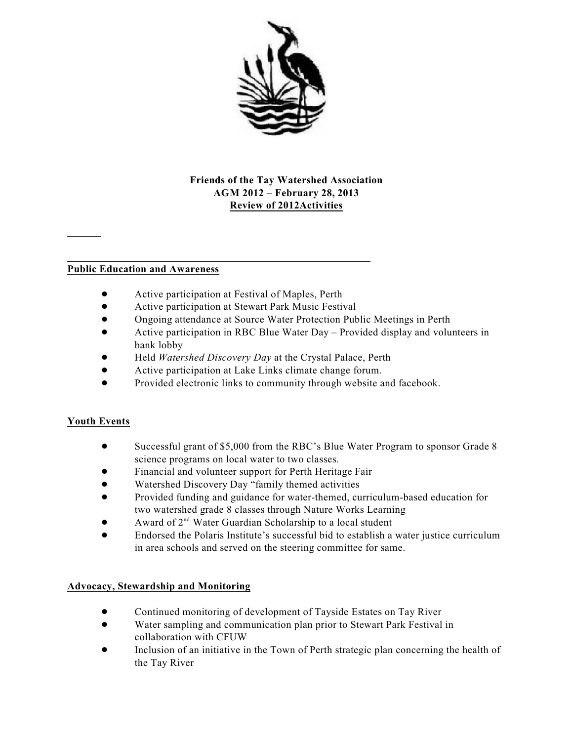

### **Friends of the Tay Watershed Association AGM 2012 – February 28, 2013 Review of 2012Activities**

#### **Public Education and Awareness**

- ! Active participation at Festival of Maples, Perth
- **•** Active participation at Stewart Park Music Festival
- ! Ongoing attendance at Source Water Protection Public Meetings in Perth
- ! Active participation in RBC Blue Water Day Provided display and volunteers in bank lobby
- ! Held *Watershed Discovery Day* at the Crystal Palace, Perth
- ! Active participation at Lake Links climate change forum.
- Provided electronic links to community through website and facebook.

#### **Youth Events**

- Successful grant of \$5,000 from the RBC's Blue Water Program to sponsor Grade 8 science programs on local water to two classes.
- ! Financial and volunteer support for Perth Heritage Fair
- ! Watershed Discovery Day "family themed activities
- ! Provided funding and guidance for water-themed, curriculum-based education for two watershed grade 8 classes through Nature Works Learning
- Award of 2<sup>nd</sup> Water Guardian Scholarship to a local student
- ! Endorsed the Polaris Institute's successful bid to establish a water justice curriculum in area schools and served on the steering committee for same.

#### **Advocacy, Stewardship and Monitoring**

- Continued monitoring of development of Tayside Estates on Tay River
- ! Water sampling and communication plan prior to Stewart Park Festival in collaboration with CFUW
- ! Inclusion of an initiative in the Town of Perth strategic plan concerning the health of the Tay River